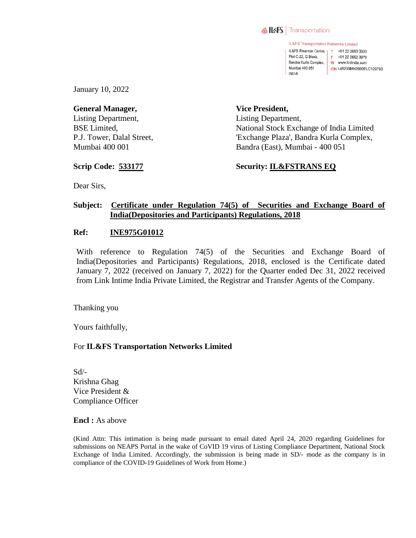

IL&FS Transportation Networks Limited IL&FS Financial Centre. | T +91 22 2653 3333 Plot C-22, G Block. F +91 22 2652 3979 Bandra Kurla Complex, W www.itnlindia.com Mumbai 400 051 CIN L45203MH2000PLC129790 **INDIA** 

January 10, 2022

**General Manager,**  Listing Department, BSE Limited, P.J. Tower, Dalal Street, Mumbai 400 001

**Vice President,**  Listing Department, National Stock Exchange of India Limited 'Exchange Plaza', Bandra Kurla Complex, Bandra (East), Mumbai - 400 051

**Scrip Code: 533177**

**Security: IL&FSTRANS EQ**

Dear Sirs,

## **Subject: Certificate under Regulation 74(5) of Securities and Exchange Board of India(Depositories and Participants) Regulations, 2018**

## **Ref: INE975G01012**

With reference to Regulation 74(5) of the Securities and Exchange Board of India(Depositories and Participants) Regulations, 2018, enclosed is the Certificate dated January 7, 2022 (received on January 7, 2022) for the Quarter ended Dec 31, 2022 received from Link Intime India Private Limited, the Registrar and Transfer Agents of the Company.

Thanking you

Yours faithfully,

## For **IL&FS Transportation Networks Limited**

Sd/- Krishna Ghag Vice President & Compliance Officer

**Encl :** As above

(Kind Attn: This intimation is being made pursuant to email dated April 24, 2020 regarding Guidelines for submissions on NEAPS Portal in the wake of CoVID 19 virus of Listing Compliance Department, National Stock Exchange of India Limited. Accordingly, the submission is being made in SD/- mode as the company is in compliance of the COVID-19 Guidelines of Work from Home.)